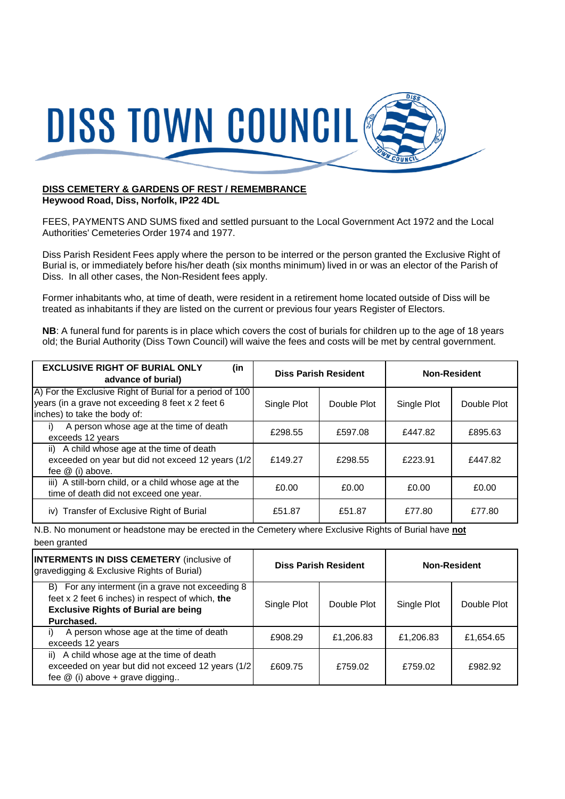

## **DISS CEMETERY & GARDENS OF REST / REMEMBRANCE Heywood Road, Diss, Norfolk, IP22 4DL**

FEES, PAYMENTS AND SUMS fixed and settled pursuant to the Local Government Act 1972 and the Local Authorities' Cemeteries Order 1974 and 1977.

Diss Parish Resident Fees apply where the person to be interred or the person granted the Exclusive Right of Burial is, or immediately before his/her death (six months minimum) lived in or was an elector of the Parish of Diss. In all other cases, the Non-Resident fees apply.

Former inhabitants who, at time of death, were resident in a retirement home located outside of Diss will be treated as inhabitants if they are listed on the current or previous four years Register of Electors.

**NB**: A funeral fund for parents is in place which covers the cost of burials for children up to the age of 18 years old; the Burial Authority (Diss Town Council) will waive the fees and costs will be met by central government.

| <b>EXCLUSIVE RIGHT OF BURIAL ONLY</b><br>(in<br>advance of burial)                                                                            |             | <b>Diss Parish Resident</b> |             | <b>Non-Resident</b> |
|-----------------------------------------------------------------------------------------------------------------------------------------------|-------------|-----------------------------|-------------|---------------------|
| A) For the Exclusive Right of Burial for a period of 100<br>years (in a grave not exceeding 8 feet x 2 feet 6<br>inches) to take the body of: | Single Plot | Double Plot                 | Single Plot | Double Plot         |
| A person whose age at the time of death<br>i)<br>exceeds 12 years                                                                             | £298.55     | £597.08                     | £447.82     | £895.63             |
| ii) A child whose age at the time of death<br>exceeded on year but did not exceed 12 years (1/2)<br>fee $@$ (i) above.                        | £149.27     | £298.55                     | £223.91     | £447.82             |
| iii) A still-born child, or a child whose age at the<br>time of death did not exceed one year.                                                | £0.00       | £0.00                       | £0.00       | £0.00               |
| iv) Transfer of Exclusive Right of Burial                                                                                                     | £51.87      | £51.87                      | £77.80      | £77.80              |

N.B. No monument or headstone may be erected in the Cemetery where Exclusive Rights of Burial have **not** been granted

| <b>INTERMENTS IN DISS CEMETERY</b> (inclusive of<br>gravedigging & Exclusive Rights of Burial)                                                                    | <b>Diss Parish Resident</b> |             | <b>Non-Resident</b> |             |
|-------------------------------------------------------------------------------------------------------------------------------------------------------------------|-----------------------------|-------------|---------------------|-------------|
| B) For any interment (in a grave not exceeding 8<br>feet x 2 feet 6 inches) in respect of which, the<br><b>Exclusive Rights of Burial are being</b><br>Purchased. | Single Plot                 | Double Plot | Single Plot         | Double Plot |
| A person whose age at the time of death<br>exceeds 12 years                                                                                                       | £908.29                     | £1,206.83   | £1,206.83           | £1,654.65   |
| ii) A child whose age at the time of death<br>exceeded on year but did not exceed 12 years (1/2<br>fee $@$ (i) above + grave digging                              | £609.75                     | £759.02     | £759.02             | £982.92     |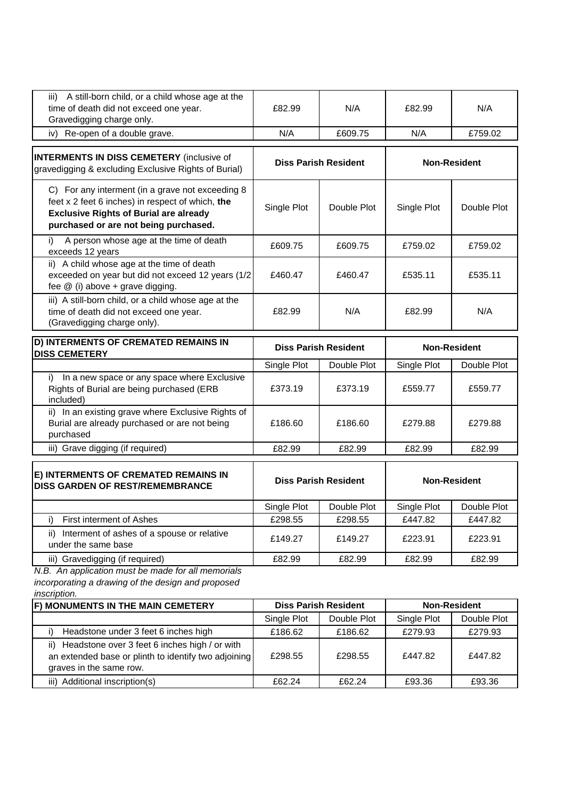| iii) A still-born child, or a child whose age at the<br>time of death did not exceed one year.<br>Gravedigging charge only.                                                                    | £82.99                      | N/A                         | £82.99                 | N/A                 |
|------------------------------------------------------------------------------------------------------------------------------------------------------------------------------------------------|-----------------------------|-----------------------------|------------------------|---------------------|
| Re-open of a double grave.<br>iv) -                                                                                                                                                            | N/A                         | £609.75                     | N/A                    | £759.02             |
| <b>INTERMENTS IN DISS CEMETERY</b> (inclusive of<br>gravedigging & excluding Exclusive Rights of Burial)                                                                                       |                             | <b>Diss Parish Resident</b> |                        | <b>Non-Resident</b> |
| C) For any interment (in a grave not exceeding 8<br>feet x 2 feet 6 inches) in respect of which, the<br><b>Exclusive Rights of Burial are already</b><br>purchased or are not being purchased. | Single Plot                 | Double Plot                 | Single Plot            | Double Plot         |
| A person whose age at the time of death<br>i)<br>exceeds 12 years                                                                                                                              | £609.75                     | £609.75                     | £759.02                | £759.02             |
| ii) A child whose age at the time of death<br>exceeded on year but did not exceed 12 years (1/2<br>fee $@$ (i) above + grave digging.                                                          | £460.47                     | £460.47                     | £535.11                | £535.11             |
| iii) A still-born child, or a child whose age at the<br>time of death did not exceed one year.<br>(Gravedigging charge only).                                                                  | £82.99                      | N/A                         | £82.99                 | N/A                 |
|                                                                                                                                                                                                | <b>Diss Parish Resident</b> |                             | <b>Non-Resident</b>    |                     |
| D) INTERMENTS OF CREMATED REMAINS IN                                                                                                                                                           |                             |                             |                        |                     |
| <b>DISS CEMETERY</b>                                                                                                                                                                           |                             | Double Plot                 |                        | Double Plot         |
| In a new space or any space where Exclusive<br>i)<br>Rights of Burial are being purchased (ERB                                                                                                 | Single Plot<br>£373.19      | £373.19                     | Single Plot<br>£559.77 | £559.77             |
| included)<br>ii) In an existing grave where Exclusive Rights of<br>Burial are already purchased or are not being<br>purchased                                                                  | £186.60                     | £186.60                     | £279.88                | £279.88             |
| iii) Grave digging (if required)                                                                                                                                                               | £82.99                      | £82.99                      | £82.99                 | £82.99              |
| E) INTERMENTS OF CREMATED REMAINS IN<br><b>DISS GARDEN OF REST/REMEMBRANCE</b>                                                                                                                 |                             | <b>Diss Parish Resident</b> |                        | <b>Non-Resident</b> |
|                                                                                                                                                                                                | Single Plot                 | Double Plot                 | Single Plot            | Double Plot         |
| First interment of Ashes<br>I)                                                                                                                                                                 | £298.55                     | £298.55                     | £447.82                | £447.82             |
| Interment of ashes of a spouse or relative<br>ii)<br>under the same base                                                                                                                       | £149.27                     | £149.27                     | £223.91                | £223.91             |
| iii) Gravedigging (if required)<br>N.B. An application must be made for all memorials                                                                                                          | £82.99                      | £82.99                      | £82.99                 | £82.99              |

*inscription.*

| F) MONUMENTS IN THE MAIN CEMETERY                                                                                                       | <b>Diss Parish Resident</b> |             | <b>Non-Resident</b> |             |
|-----------------------------------------------------------------------------------------------------------------------------------------|-----------------------------|-------------|---------------------|-------------|
|                                                                                                                                         | Single Plot                 | Double Plot | Single Plot         | Double Plot |
| Headstone under 3 feet 6 inches high                                                                                                    | £186.62                     | £186.62     | £279.93             | £279.93     |
| Headstone over 3 feet 6 inches high / or with<br>ii)<br>an extended base or plinth to identify two adjoining<br>graves in the same row. | £298.55                     | £298.55     | £447.82             | £447.82     |
| Additional inscription(s)<br>iii)                                                                                                       | £62.24                      | £62.24      | £93.36              | £93.36      |